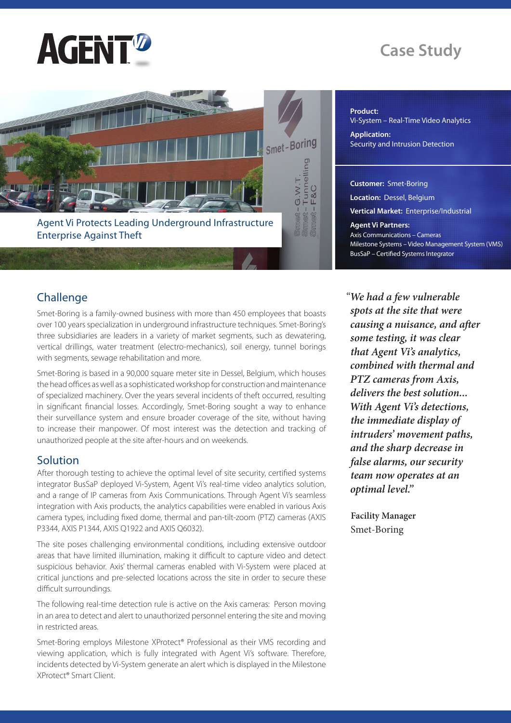

# **Case Study**



**Product:** 

Vi-System – Real-Time Video Analytics **Application:**  Security and Intrusion Detection

**Customer:** Smet-Boring **Location:** Dessel, Belgium **Vertical Market:** Enterprise/Industrial **Agent Vi Partners:**  Axis Communications – Cameras Milestone Systems – Video Management System (VMS) BusSaP – Certified Systems Integrator

## **Challenge**

Smet-Boring is a family-owned business with more than 450 employees that boasts over 100 years specialization in underground infrastructure techniques. Smet-Boring's three subsidiaries are leaders in a variety of market segments, such as dewatering, vertical drillings, water treatment (electro-mechanics), soil energy, tunnel borings with segments, sewage rehabilitation and more.

Smet-Boring is based in a 90,000 square meter site in Dessel, Belgium, which houses the head offices as well as a sophisticated workshop for construction and maintenance of specialized machinery. Over the years several incidents of theft occurred, resulting in significant financial losses. Accordingly, Smet-Boring sought a way to enhance their surveillance system and ensure broader coverage of the site, without having to increase their manpower. Of most interest was the detection and tracking of unauthorized people at the site after-hours and on weekends.

### **Solution**

After thorough testing to achieve the optimal level of site security, certified systems integrator BusSaP deployed Vi-System, Agent Vi's real-time video analytics solution, and a range of IP cameras from Axis Communications. Through Agent Vi's seamless integration with Axis products, the analytics capabilities were enabled in various Axis camera types, including fixed dome, thermal and pan-tilt-zoom (PTZ) cameras (AXIS P3344, AXIS P1344, AXIS Q1922 and AXIS Q6032).

The site poses challenging environmental conditions, including extensive outdoor areas that have limited illumination, making it difficult to capture video and detect suspicious behavior. Axis' thermal cameras enabled with Vi-System were placed at critical junctions and pre-selected locations across the site in order to secure these difficult surroundings.

The following real-time detection rule is active on the Axis cameras: Person moving in an area to detect and alert to unauthorized personnel entering the site and moving in restricted areas.

Smet-Boring employs Milestone XProtect® Professional as their VMS recording and viewing application, which is fully integrated with Agent Vi's software. Therefore, incidents detected by Vi-System generate an alert which is displayed in the Milestone XProtect® Smart Client.

*"We had a few vulnerable spots at the site that were causing a nuisance, and after some testing, it was clear that Agent Vi's analytics, combined with thermal and PTZ cameras from Axis, delivers the best solution... With Agent Vi's detections, the immediate display of intruders' movement paths, and the sharp decrease in false alarms, our security team now operates at an optimal level."*

**Facility Manager** Smet-Boring